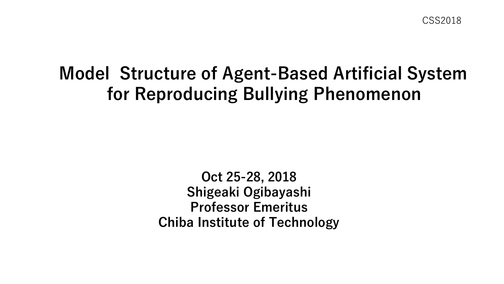# **Model Structure of Agent-Based Artificial System for Reproducing Bullying Phenomenon**

**Oct 25-28, 2018 Shigeaki Ogibayashi Professor Emeritus Chiba Institute of Technology**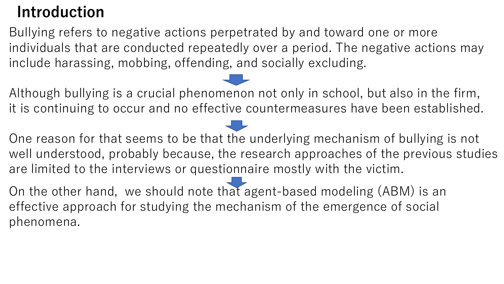# **Introduction**

Bullying refers to negative actions perpetrated by and toward one or more individuals that are conducted repeatedly over a period. The negative actions may include harassing, mobbing, offending, and socially excluding.

Although bullying is a crucial phenomenon not only in school, but also in the firm, it is continuing to occur and no effective countermeasures have been established.

One reason for that seems to be that the underlying mechanism of bullying is not well understood, probably because, the research approaches of the previous studies are limited to the interviews or questionnaire mostly with the victim.

On the other hand, we should note that agent-based modeling (ABM) is an effective approach for studying the mechanism of the emergence of social phenomena.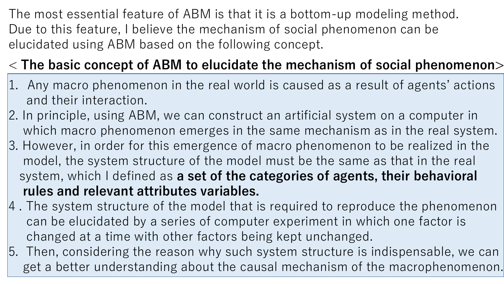The most essential feature of ABM is that it is a bottom-up modeling method. Due to this feature, I believe the mechanism of social phenomenon can be elucidated using ABM based on the following concept.

# < **The basic concept of ABM to elucidate the mechanism of social phenomenon>**

- 1. Any macro phenomenon in the real world is caused as a result of agents' actions and their interaction.
- 2. In principle, using ABM, we can construct an artificial system on a computer in which macro phenomenon emerges in the same mechanism as in the real system.
- 3. However, in order for this emergence of macro phenomenon to be realized in the model, the system structure of the model must be the same as that in the real system, which I defined as **a set of the categories of agents, their behavioral rules and relevant attributes variables.**
- 4 . The system structure of the model that is required to reproduce the phenomenon can be elucidated by a series of computer experiment in which one factor is changed at a time with other factors being kept unchanged.
- 5. Then, considering the reason why such system structure is indispensable, we can get a better understanding about the causal mechanism of the macrophenomenon.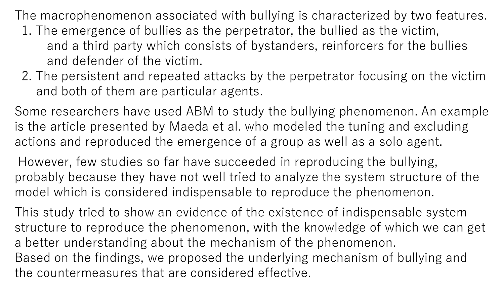The macrophenomenon associated with bullying is characterized by two features.

- 1. The emergence of bullies as the perpetrator, the bullied as the victim, and a third party which consists of bystanders, reinforcers for the bullies and defender of the victim.
- 2. The persistent and repeated attacks by the perpetrator focusing on the victim and both of them are particular agents.

Some researchers have used ABM to study the bullying phenomenon. An example is the article presented by Maeda et al. who modeled the tuning and excluding actions and reproduced the emergence of a group as well as a solo agent.

However, few studies so far have succeeded in reproducing the bullying, probably because they have not well tried to analyze the system structure of the model which is considered indispensable to reproduce the phenomenon.

This study tried to show an evidence of the existence of indispensable system structure to reproduce the phenomenon, with the knowledge of which we can get a better understanding about the mechanism of the phenomenon. Based on the findings, we proposed the underlying mechanism of bullying and the countermeasures that are considered effective.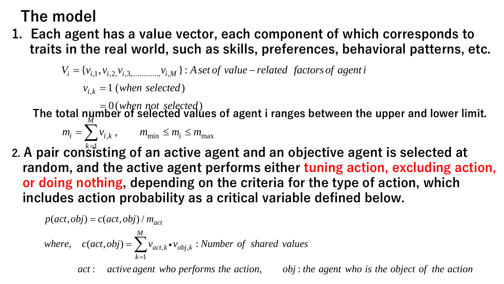# **The model**

**1. Each agent has a value vector, each component of which corresponds to traits in the real world, such as skills, preferences, behavioral patterns, etc.**

 $k = 1$  (where  $k = 1$ )

**The total number of selected values of agent i ranges between the upper and lower limit. 1 has a value v<br>
e real world, s**<br>  $\sum_{i=1}^{n} v_{i,2} v_{i,3,\dots} v_{i,M}$ <br>  $\sum_{k=1}^{n} (when\; selected \neq 0)$ <br>  $\sum_{i=1}^{n} v_{i,k}$ ,  $m_{\text{min}} \leq m$ |e|<br>
ent has a value vect<br>
the real world, such<br>  $\{v_{i,1}, v_{i,2}, v_{i,3, \dots}, v_{i,M}\} : A s$ <br>  $v_{i,k} = 1$  (when selected)<br>  $= 0$  (when not selected)<br>
number of selected valu<br>  $\sum_{k=1}^{k-1} v_{i,k}$ ,  $m_{\min} \le m_i \le m_1$ <br>
sisting of an act  $m_i = \sum v_{i,k}$ ,  $m_{\min} \le m_i \le m_{\max}$ **odel**<br> **agent has a value vecto**<br>
in the real world, such a<br>  $V_i = \{v_{i,1}, v_{i,2,}v_{i,3, \dots}, v_{i,M}\} : A \, se_i$ <br>  $v_{i,k} = 1 \,(when \, selected)$ <br>  $= 0 \,(when \, not \, selected)$ <br>
tal number of selected value<br>  $v_i = \sum_{k=1}^{M} v_{i,k}$ ,  $m_{\min} \le m_i \le m_{\min}$  $\begin{array}{l} \displaystyle \mathop{\mathbf{P}} \limits^{\mathop{\mathbf{P}}}_{i} \displaystyle \mathop{\mathbf{P}} \limits^{\mathop{\mathbf{P}}}_{i,j} \displaystyle \mathop{\mathbf{P}} \limits^{\mathop{\mathbf{P}}}_{i,j} \displaystyle \mathop{\mathbf{P}} \limits^{\mathop{\mathbf{P}}}_{i,k} = 1 \\ \displaystyle \mathop{\mathbf{P}} \limits^{\mathop{\mathbf{P}}}_{i,k} \displaystyle \mathop{\mathbf{P}} \limits^{\mathop{\mathbf{P}}}_{i,k} \\ \displaystyle \mathop{\mathbf{P}} \limits^{\mathop{\mathbf{P}}}_{i,j} \displaystyle \mathop{\mathbf{P}} \$ *M* **10del**<br>
agent has a value vector, each component of which<br>
in the real world, such as skills, preferences, behavi<br>  $V_i = \{v_{i,1}, v_{i,2}, v_{i,3,\dots} \dots v_{i,M}\}\n: A set of value-related factors of agent i\nv_{i,k} = 1 (when selected)\n\ntotal number of selected values of agent i ranges between the u\nm_i = \sum_{i=1}^{M} v_{i,k}, \quad m_{\text{min}} \leq m_i$ del<br>
gent has a value vector, each component of which corresponds to<br>
the real world, such as skills, preferences, behavioral patterns, etc.<br>
=  $\{v_{i,1}, v_{i,2}, v_{i,3, \dots} \dots v_{i,M}\}$ : Aset of value – related factors of agent i  $=0 (whe)$ 

**2. A pair consisting of an active agent and an objective agent is selected at** 1 = **random, and the active agent performs either tuning action, excluding action, or doing nothing, depending on the criteria for the type of action, which includes action probability as a critical variable defined below.** nas a value vector, ea<br>real world, such as sk<br> $\{a_{i,2, v_{i,3,............,v_{i,M}}\} : A \textit{set of va} \}$ <br> $1 \text{ (when selected)} \newline 0 \text{ (when not selected)} \newline 0 \text{ or selected values of} \newline 0 \text{ or selected values of} \newline \textit{m}_{\text{min}} \leq m_i \leq m_{\text{max}} \newline \textit{m}_{\text{min}} \leq m_i \leq m_{\text{max}} \newline \textit{m}_{\text{max}} \text{ or the} \newline \textit{m}_{\text{max}} \text{$ as a value vect<br>
real world, such<br>  $\sum_{i,2,\nu_{i,3,............},\nu_{i,M}}$  : As<br>
1 (when selected)<br>
0 (when not selected)<br>
der of selected valu<br>
k,  $m_{\min} \leq m_i \leq m_i$ <br>
ing of an active<br>
he active agent<br>
ng, depending c as a value vector,<br>
eal world, such as<br>  $\begin{array}{l} \mathbb{R}^{2, \mathcal{V}_{i, 3, \dots}} \mathbb{R}^{2, \mathcal{V}_{i, M}} \mathbb{R}^{2} & \mathcal{S}_{i, M} \end{array}$ <br>  $\begin{array}{l} \mathbb{R}^{2, \mathcal{V}_{i, 3, \dots}} \mathbb{R}^{2}, \mathbb{R}^{3} & \mathcal{V}_{i, M} \end{array}$ <br>  $\begin{array}{l} \mathbb{R}^{2}, \quad m_{\text{min}} \leq m_{i} \le$ **i** delay that a value vertical world, such the real world, such the real world, such the real world, such  $v_{i,k} = 1$  (when selected)<br>al number of selected)<br>al number of selected values of selected values of selected valu **el**<br> **ent has a value vecto**<br>
the real world, such<br>  $\{v_{i,1}, v_{i,2}, v_{i,3, \dots}, v_{i,M}\} : A se$ <br>  $v_{i,k} = 1$  (when selected)<br>  $= 0$  (when not selected)<br> **number of selected value**<br>  $\sum_{k=1}^{M} v_{i,k}$ ,  $m_{\min} \le m_i \le m_{\min}$ <br> **not the a nodel**<br>
agent has a value vector, eac<br>
in the real world, such as ski<br>  $V_i = \{v_{i,1}, v_{i,2}, v_{i,3,\dots} \dots v_{i,M}\}$ : *A set of valu*<br>  $v_{i,k} = 1$  (when selected)<br> **otal number of selected**<br> **otal number of selected**<br> **otal number** del<br>
gent has a value vector, each component of which corresponds to<br>
the real world, such as skills, preferences, behavioral patterns, etc.<br>  $[v_{i,1}, v_{i,2}, v_{i,3,\dots,\dots,\dots}, v_{i,M}]: A \text{ set of value – related factors of agent } v_{i,k} = 1 \text{ (when selected)}$ <br>  $v_{i,k} = 1 \text{ (when selected)}$ value vectorial and the vectorial of the selected and  $n_{\min} \leq m_i \leq n$ <br>an active agentines and active ive agenting<br> $m_{\min} \leq m_{\min}$ <br> $m_{\text{acc}}$ <br> $m_{\text{acc}}$ <br> $m_{\text{acc}}$ <br> $m_{\text{acc}}$ <br> $m_{\text{acc}}$ <br> $m_{\text{acc}}$ <br> $m_{\text{acc}}$ <br> $m_{\text{acc}}$ <br> $m_{\text{acc}}$ <br> model<br>
ts in the real world<br>
ts in the real world<br>  $V_i = \{v_{i,1}, v_{i,2}, v_{i,3, \dots} \}$ <br>  $v_{i,k} = 1$  (when sele<br>  $= 0$  (when not<br>  $m_i = \sum_{k=1}^{M} v_{i,k}$ ,  $m_{\min}$ <br>
ir consisting of an<br>
om, and the active<br>
ving nothing, depe<br>
des ac **Ddel**<br> **n the real world, such a**:<br>  $v_{i,1}, v_{i,2}, v_{i,3, \dots, j}$ ,  $v_{i,M}$  }: *A set c*<br>  $v_{i,k} = 1$  (when selected)<br> **al number of selected**<br> **al number of selected values**<br>  $h_i = \sum_{k=1}^{M} v_{i,k}$ ,  $m_{min} \le m_i \le m_{max}$ <br> **consistin** 1<br>
It has a value vector, each componer<br>
e real world, such as skills, preference<br>  $x_1, y_{i,2, y_{i,3,............}} y_{i,M}$ : A set of value – related facto<br>  $x = 1$  (when selected)<br>  $y_{i,k} = 0$  (when not selected)<br>  $y_{i,k} = m_{min} \le m_i \le m_{max}$ **lue vecto**<br> **d, such a**<br>  $\ldots, v_{i,M}$  } : A set<br>  $\ldots, v_{i,M}$  } : A set<br>  $\ldots, v_{i,M}$  } : A set<br>  $\ldots$ <br>  $\ldots$  active and ing or<br>  $\ldots$ <br>  $\ldots$ <br>  $\ldots$ <br>  $\ldots$ <br>  $\ldots$ <br>  $\ldots$ <br>  $\ldots$ <br>  $\ldots$ <br>  $\ldots$ <br>  $\ldots$ <br>  $\ldots$ <br>  $\ldots$ <br>  $\ldots$ <br>  $\ld$ **p** and the real world, such the real world, such the real world, such  $V_i = \{v_{i,1}, v_{i,2}, v_{i,3,\dots} \dots v_{i,M}\}$ :  $\mu_{i,k} = 1$  (when selected)<br>  $= 0$  (when not selected)<br>  $= 0$  (when not selected vanisom in the selected vanisom **e model**<br> **ch** agent has a value vector, each component of<br>
its in the real world, such as skills, preference<br>  $V_i = \{v_{i,1}, v_{i,2}, v_{i,3,\dots}, \dots, v_{i,M}\}$ : A set of value – related factors  $v_{i,k} = 1$  (when selected)<br> **le** total **del**<br> **active and world, such as skills, preferences, behavioral patterns, etc.**<br>  $\{v_{i,1}, v_{i,2}, v_{i,3}, \ldots, v_{i,M}\}$ : *Asetof value – related factors of agent i*<br>  $v_{i,k} = 1$  (when selected)<br> **n**ymber of selected values of

$$
p(act, obj) = c(act, obj) / m_{act}
$$
  
where,  $c(act, obj) = \sum_{k=1}^{M} v_{act,k} \cdot v_{obj,k}$ : Number of shared values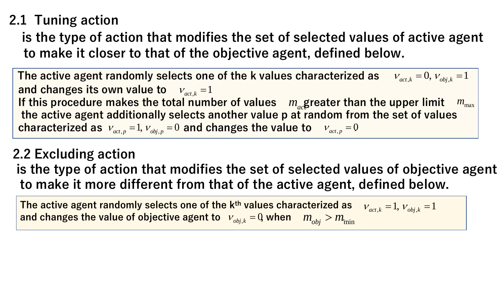## **2.1 Tuning action**

**is the type of action that modifies the set of selected values of active agent to make it closer to that of the objective agent, defined below.**

**The active agent randomly selects one of the k values characterized as**  and changes its own value to  $v_{act,k} = 1$ If this procedure makes the total number of values  $m_{ac}$  greater than the upper limit  $m_{max}$ **the active agent additionally selects another value p at random from the set of values**  characterized as  $v_{_{act,p}} = 1$ ,  $v_{_{obj,p}} = 0$  and changes the value to  $v_{_{act,p}} = 0$  $v_{act,k} = 0, v_{obj,k} = 1$ 

**2.2 Excluding action is the type of action that modifies the set of selected values of objective agent to make it more different from that of the active agent, defined below.** s of obje<br>
ined bel<br>  $\frac{1}{\sqrt{k}}$  = 1,  $\frac{1}{\sqrt{k}}$  = a the upper limit  $\begin{bmatrix} m_{\text{max}} \ m \text{ the set of values} \end{bmatrix}$ <br>
ues of objective agent<br>
defined below.<br>  $\frac{V_{act,k} = 1, V_{obj,k} = 1}{V_{obj,k} = 1}$ The set of selected values of<br>the set of selected values of<br>the active agent, define<br> $\frac{k^{th}$  values characterized as  $\frac{V_{act,k}}{V_{obj,k}} = 0$  when  $m_{obj} > m_{min}$ 

**The active agent randomly selects one of the kth values characterized as**  and changes the value of objective agent to  $\|v_{_{obj,k}}=0\}$  when  $\|m_{_{obj}} > m_{_{\rm int}}$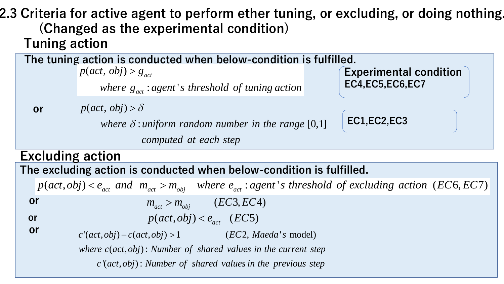**Tuning action 2.3 Criteria for active agent to perform ether tuning, or excluding, or doing nothing. (Changed as the experimental condition)**

**(Changed as the experimental condition)**<br>
(Changed as the experimental condition)<br>
ining action<br>
terming action<br>  $p(act, obj) > g_{\text{av}}$ <br>  $p(act, obj) > g_{\text{av}}$ <br>  $\text{where } g_{\text{av}} : agent's threshold of tuning action$ <br>  $\text{ECA,EC5,EC6,EC7}$ <br> **r**<br>  $p(act, obj) > \delta$ <br>  $\text{where } \delta : \text$ *r* active agent to perform ether tuning, or<br>
ed as the experimental condition)<br>
tion<br>
(act, obj) >  $S_{act}$ <br>
where  $S_{act}$ ; agent's threshold of tuning action<br>
(act, obj) >  $\delta$ <br>
where  $\delta$ : uniform random number in the ran (ive agent<br>
s the exp<br>
m is conduc<br>
obj) >  $g_{act}$ <br>
here  $g_{act}$  : age<br>
obj) >  $\delta$ <br>
here  $\delta$  : unifo<br>
comp<br>
om<br>
ion is conc<br>
, and  $m_{act}$ <br>
m<sub>act</sub><br>
m<sub>act</sub><br>
m<sub>act</sub><br>
(a) – c(act, obj)<br>
(w) – c(act, obj)<br>
(w) – c(act, obj)<br>
( tive ager<br>
as the ex<br>
n<br>
on is condu<br>
by  $>g_{act}$ <br>  $(bj) > g_{act}$ <br>  $(bj) > \delta$ <br>
where  $\delta$  : unif<br>
com<br>
ion<br>
tion is con<br>
tion is con<br>  $\frac{1}{\epsilon}$ <br>  $\frac{1}{m_a}$ <br>  $\frac{1}{m_a}$ <br>  $\frac{1}{m_a}$ <br>  $\frac{1}{m_a}$ <br>  $\frac{1}{m_a}$ <br>  $\frac{1}{m_a}$ <br>  $\frac{1}{m_a}$ **comparison is conducted when below-condition**)<br> **comparison is conducted when below-condition** is<br>  $p(act, obj) > g_{act}$ <br> *where*  $g_{act}$ : *agent's threshold of tuning action*<br>  $p(act, obj) > \delta$ <br> *where*  $\delta$ : *aniform random number in where controllant to perform ether tuning, or excelled as the experimental condition)***<br>
<b>controllant conducted when below-condition is fulfilled**<br> *where*  $g_{act}$  *agent's threshold of tuning action*<br>  $p(act, obj) > \delta$ <br> *where* **crive agent to perform ether tuning, or exall as the experimental condition)**<br> **on**<br> **condition** is conducted when below-condition is fulfilled<br>  $c_1$ ,  $obj$ ) >  $g_{act}$ <br>  $c_k$ ,  $obj$ ) >  $\delta$ <br>  $c_k$ ,  $obj$ ) >  $\delta$ <br>  $c_k$  where  $\delta$ **Example 18 and 18 and 18 and 18 and 18 and 18 and 18 and 18 and 18 and 18 and 18 and 18 and 18 and 18 and 18 and 18 and 18 and 18 and 18 and 18 and 18 and 18 and 18 and 18 and 18 and 18 and 18 and 18 and 18 and 18 and 1 The tuning action is conducted when below-condition is fulfilled. Experimental condition EC4,EC5,EC6,EC7 or EC1,EC2,EC3**  $\frac{1}{\text{action}}$  is cor<br>  $p(act, obj) > g$  $(t, obj) > g_{act}$ <br>where  $g_{act}$ : agent's threshold of tuning action  $> g_{act}$  $\begin{array}{l} \hbox{active age} \ \hbox{ed as the e} \ \hbox{tion} \ \hbox{action is cone} \ \hbox{(act, obj) > g_{ac}} \ \hbox{(act, obj) > g_{ac}} \ \hbox{(act, obj) > \delta} \ \hbox{where $\delta$ : un c} \ \hbox{action} \ \hbox{g action is c} \ \hbox{c} \ \hbox{e}_{act} \ \hbox{and} \ \ m_a \ \ \hbox{f} \ \hbox{f} \end{array}$ **gent to perform ether tuning, or ex**<br> **experimental condition**)<br> **onducted when below-condition** is fulfilled<br>  $g_{act}$ <br>  $g_{act}$ <br>  $g_{act}$ <br>  $g_{cent}$  is threshold of tuning action<br>  $\delta$ <br>  $g_{t,uniform}$  random number in the range [0,1  $\begin{array}{l} \textbf{if active age}\ \textbf{if some}\ \textbf{if one}\ \textbf{if one}\ \textbf{if one}\ \textbf{if one}\ \textbf{if one}\ \textbf{if one}\ \textbf{if one}\ \textbf{if one}\ \textbf{if one}\ \textbf{if one}\ \textbf{if one}\ \textbf{if one}\ \textbf{if one}\ \textbf{if one}\ \textbf{if one}\ \textbf{if one}\ \textbf{if one}\ \textbf{if one}\ \textbf{if one}\ \textbf{if one}\ \textbf{if one}\ \textbf{if one}\ \textbf{if one}\ \textbf{if one}\ \textbf{if one}\ \textbf{if one}\ \textbf{if one}\ \textbf{if one}\ \text$ **citive agent to perform ether tuning, or**<br> **as the experimental condition)**<br> **n**<br> **on is conducted when below-condition is fulfi**<br> *t*, *obj*) >  $g_{ac}$ <br> *where*  $g_{ac}$ : *agent's threshold of tuning action*<br> *t*, *obj*) > **gent to perform ether**<br> **experimental conditic**<br> **nducted when below-conditic**<br> **nducted when below-conditically**<br> **s**<br> *computed at each step*<br> **conducted when below-conditically where**  $e_{act}$ **: agentify<br>**  $m_{act} > m_{obj}$  **wher**  $>\delta$ where  $\delta$ : uniform random number in the range [0,1] Experimental condition)<br>
ducted when below-condition<br>
ducted when below-condition<br>
miform random number in the ran<br>
pomputed at each step<br> **p** act >  $m_{obj}$  where  $e_{act}$  : agent's timents of  $m_{act}$  >  $m_{obj}$  (EC3, EC4)<br>  $p($ 

#### **Excluding action**

**or**

**The excluding action is conducted when below-condition is fulfilled.**

**or**

$$
p(act, obj) < e_{act} \quad (EC5)
$$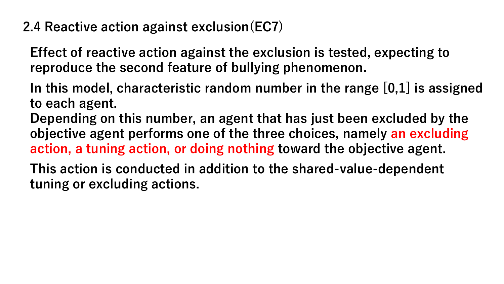**2.4 Reactive action against exclusion(EC7)**

**Effect of reactive action against the exclusion is tested, expecting to reproduce the second feature of bullying phenomenon.**

**In this model, characteristic random number in the range [0,1] is assigned to each agent.** 

**Depending on this number, an agent that has just been excluded by the objective agent performs one of the three choices, namely an excluding action, a tuning action, or doing nothing toward the objective agent.**

**This action is conducted in addition to the shared-value-dependent tuning or excluding actions.**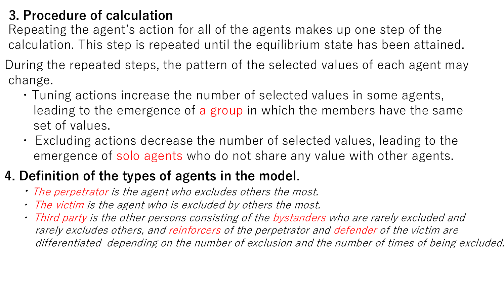### **3. Procedure of calculation**

Repeating the agent's action for all of the agents makes up one step of the calculation. This step is repeated until the equilibrium state has been attained.

- During the repeated steps, the pattern of the selected values of each agent may change.
	- ・Tuning actions increase the number of selected values in some agents, leading to the emergence of a group in which the members have the same set of values.
	- ・ Excluding actions decrease the number of selected values, leading to the emergence of solo agents who do not share any value with other agents.

## **4. Definition of the types of agents in the model.**

- ・The perpetrator is the agent who excludes others the most.
- ・ The victim is the agent who is excluded by others the most.
- ・ Third party is the other persons consisting of the bystanders who are rarely excluded and rarely excludes others, and reinforcers of the perpetrator and defender of the victim are differentiated depending on the number of exclusion and the number of times of being excluded.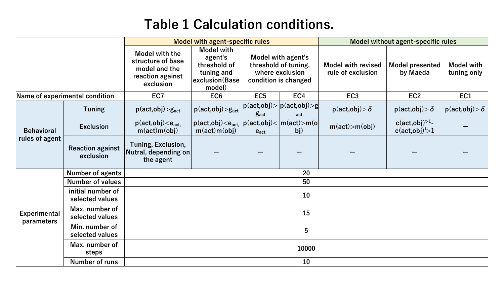### **Table 1 Calculation conditions.**

|                                     |                                      | <b>Model with agent-specific rules</b>                                                |                                                                                        |                                                                                       |                                                                             | Model without agent-specific rules             |                                                         |                                         |  |  |
|-------------------------------------|--------------------------------------|---------------------------------------------------------------------------------------|----------------------------------------------------------------------------------------|---------------------------------------------------------------------------------------|-----------------------------------------------------------------------------|------------------------------------------------|---------------------------------------------------------|-----------------------------------------|--|--|
|                                     |                                      | Model with the<br>structure of base<br>model and the<br>reaction against<br>exclusion | <b>Model with</b><br>agent's<br>threshold of<br>tuning and<br>exclusion(Base<br>model) | Model with agent's<br>threshold of tuning,<br>where exclusion<br>condition is changed |                                                                             | <b>Model with revised</b><br>rule of exclusion | <b>Model presented</b><br>by Maeda                      | <b>Model with</b><br>tuning only        |  |  |
| Name of experimental condition      |                                      | EC7                                                                                   | EC <sub>6</sub>                                                                        | EC <sub>5</sub>                                                                       | EC4                                                                         | EC <sub>3</sub>                                | EC <sub>2</sub>                                         | EC1                                     |  |  |
| <b>Behavioral</b><br>rules of agent | <b>Tuning</b>                        | $p(\textsf{act},\textsf{obj}) > g_{\textsf{act}}$                                     | $p(\textsf{act},\textsf{obj})\text{>g}_{\textsf{act}}$                                 | <b>g</b> act                                                                          | $p(\text{act,obj}) >  p(\text{act,obj}) > g $<br>act                        | $p(\textsf{act},\textsf{obj}) > \delta$        | $p(\textsf{act},\textsf{obj}) > \delta$                 | $p(\textsf{act},\textsf{obj}) > \delta$ |  |  |
|                                     | <b>Exclusion</b>                     | $p(\text{act,obj}) < e_{\text{act}}$<br>$m(\text{act})m(\text{obj})$                  | $p(act, obj) < e_{act}$<br>$m(\text{act})m(\text{obj})$                                | $e_{act}$                                                                             | $ p(\mathsf{act},\mathsf{obj})  <  m(\mathsf{act})  > m(\mathsf{o})$<br>bj) | $m(\text{act}) > m(\text{obj})$                | $c(\text{act,obj})^{t-1}$ -<br>c(act, obj) <sub>1</sub> |                                         |  |  |
|                                     | <b>Reaction against</b><br>exclusion | Tuning, Exclusion,<br>Nutral, depending on<br>the agent                               |                                                                                        |                                                                                       |                                                                             |                                                |                                                         |                                         |  |  |
| <b>Experimental</b><br>parameters   | <b>Number of agents</b>              | 20                                                                                    |                                                                                        |                                                                                       |                                                                             |                                                |                                                         |                                         |  |  |
|                                     | <b>Number of values</b>              | 50                                                                                    |                                                                                        |                                                                                       |                                                                             |                                                |                                                         |                                         |  |  |
|                                     | initial number of<br>selected values | 10                                                                                    |                                                                                        |                                                                                       |                                                                             |                                                |                                                         |                                         |  |  |
|                                     | Max. number of<br>selected values    | 15                                                                                    |                                                                                        |                                                                                       |                                                                             |                                                |                                                         |                                         |  |  |
|                                     | Min. number of<br>selected values    | 5                                                                                     |                                                                                        |                                                                                       |                                                                             |                                                |                                                         |                                         |  |  |
|                                     | Max. number of<br>steps              | 10000                                                                                 |                                                                                        |                                                                                       |                                                                             |                                                |                                                         |                                         |  |  |
|                                     | <b>Number of runs</b>                | 10                                                                                    |                                                                                        |                                                                                       |                                                                             |                                                |                                                         |                                         |  |  |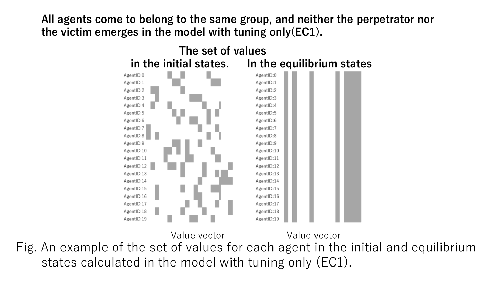**All agents come to belong to the same group, and neither the perpetrator nor the victim emerges in the model with tuning only(EC1).**



Fig. An example of the set of values for each agent in the initial and equilibrium states calculated in the model with tuning only (EC1).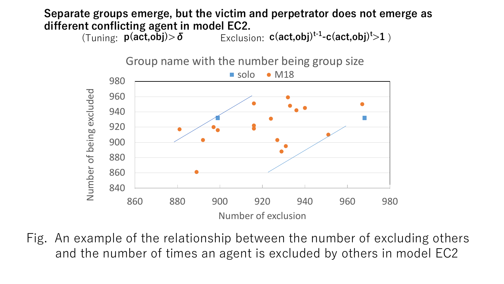## **Separate groups emerge, but the victim and perpetrator does not emerge as different conflicting agent in model EC2.**<br>
(Tuning: **p**(act,obj)>δ Exclusi

 $(Tuning: p(act, obj) > \delta$  **Exclusion: c(act,obj)<sup>t-1</sup>-c(act,obj)<sup>t</sup>>1**)



Fig. An example of the relationship between the number of excluding others and the number of times an agent is excluded by others in model EC2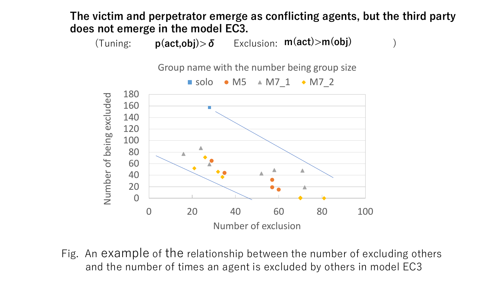**The victim and perpetrator emerge as conflicting agents, but the third party does not emerge in the model EC3.**

(Tuning: Exclusion: ) **p(act,obj)>δ m(act)>m(obj)**

Group name with the number being group size



Fig. An example of the relationship between the number of excluding others and the number of times an agent is excluded by others in model EC3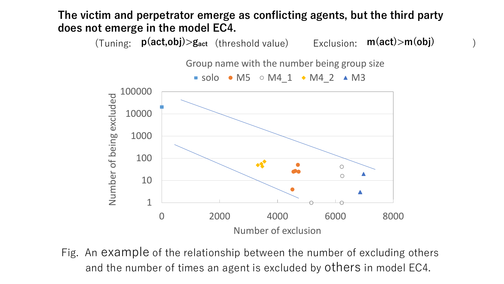**The victim and perpetrator emerge as conflicting agents, but the third party does not emerge in the model EC4.**

(Tuning: **p(act,obj)>g**<sub>act</sub> (threshold value) Exclusion: **m(act)>m(obj)** 

Group name with the number being group size



Fig. An example of the relationship between the number of excluding others and the number of times an agent is excluded by others in model EC4.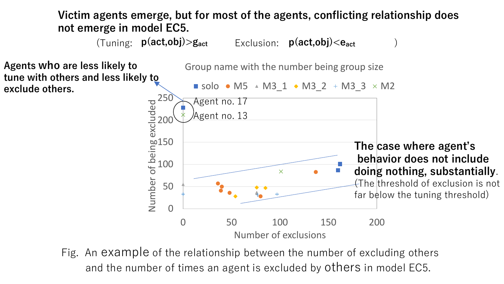**Victim agents emerge, but for most of the agents, conflicting relationship does not emerge in model EC5.**

(Tuning:  $p(\text{act,obj}) > g_{\text{act}}$  **Exclusion:**  $p(\text{act,obj}) < e_{\text{act}}$ 

**Agents who are less likely to tune with others and less likely to exclude others.**

Group name with the number being group size  $\blacksquare$  solo  $\bullet$  M5  $\triangle$  M3\_1  $\bullet$  M3\_2  $\pm$  M3\_3  $\times$  M2 250 Agent no. 17 Number of being excluded Agent no. 13 200 150 **The case where agent's behavior does not include**  100 **doing nothing, substantially**.  $\overline{\mathsf{X}}$  $f$ The threshold of exclusion is not 50 far below the tuning threshold)0 0 50 100 150 200 Number of exclusions

Fig. An example of the relationship between the number of excluding others and the number of times an agent is excluded by others in model EC5.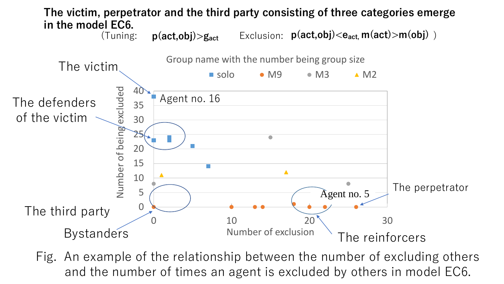

Fig. An example of the relationship between the number of excluding others and the number of times an agent is excluded by others in model EC6.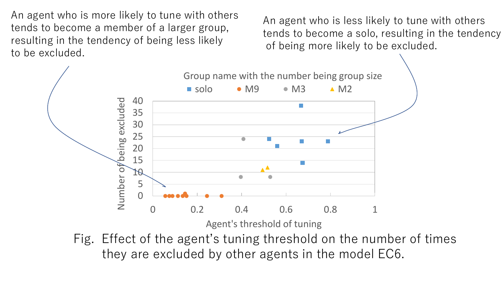An agent who is more likely to tune with others tends to become a member of a larger group, resulting in the tendency of being less likely to be excluded.

An agent who is less likely to tune with others tends to become a solo, resulting in the tendency of being more likely to be excluded.

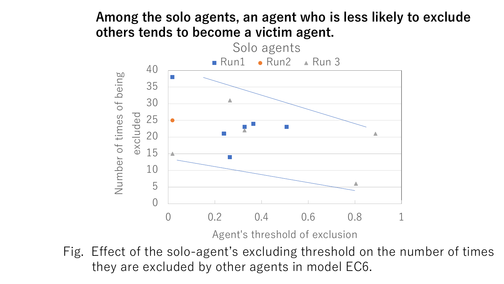#### **Among the solo agents, an agent who is less likely to exclude others tends to become a victim agent.**



Fig. Effect of the solo-agent's excluding threshold on the number of times they are excluded by other agents in model EC6.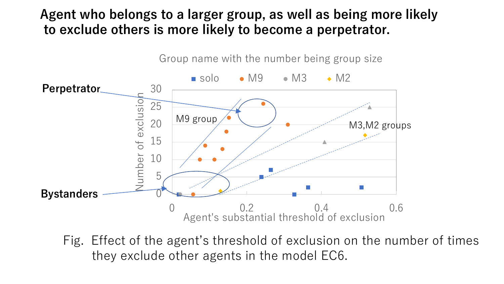#### **Agent who belongs to a larger group, as well as being more likely to exclude others is more likely to become a perpetrator.**



Fig. Effect of the agent's threshold of exclusion on the number of times they exclude other agents in the model EC6.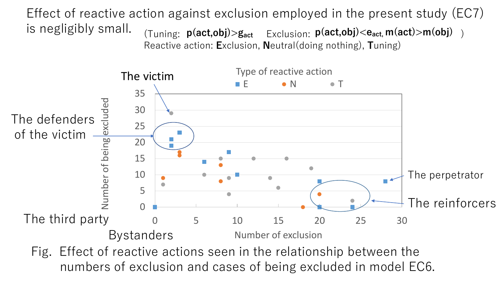is negligibly small.  $\frac{1}{T}$   $\frac{1}{T}$   $\frac{1}{T}$   $\frac{1}{T}$   $\frac{1}{T}$   $\frac{1}{T}$   $\frac{1}{T}$   $\frac{1}{T}$   $\frac{1}{T}$   $\frac{1}{T}$   $\frac{1}{T}$   $\frac{1}{T}$   $\frac{1}{T}$   $\frac{1}{T}$   $\frac{1}{T}$   $\frac{1}{T}$   $\frac{1}{T}$   $\frac{1}{T}$   $\frac{1}{T}$   $\frac{1}{T}$  Effect of reactive action against exclusion employed in the present study (EC7)

Reactive action: **E**xclusion, **N**eutral(doing nothing), **T**uning)



Fig. Effect of reactive actions seen in the relationship between the numbers of exclusion and cases of being excluded in model EC6.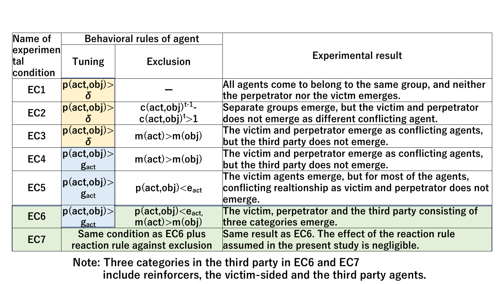| Name of                                            | <b>Behavioral rules of agent</b>                                         |                                                                      |                                                                                                                                 |
|----------------------------------------------------|--------------------------------------------------------------------------|----------------------------------------------------------------------|---------------------------------------------------------------------------------------------------------------------------------|
| $\left $ experimen $\right $<br> tal <br>condition | <b>Tuning</b>                                                            | <b>Exclusion</b>                                                     | <b>Experimental result</b>                                                                                                      |
| EC1                                                | $ \mathsf{p}(\mathsf{act},\mathsf{obj})\mathord{>} $                     |                                                                      | All agents come to belong to the same group, and neither<br>the perpetrator nor the victm emerges.                              |
| EC <sub>2</sub>                                    | $ p(\text{act,obj})\rangle $                                             | $c(\text{act,obj})^{t-1}$ -<br>c(act, obj) <sup>t</sup> > 1          | Separate groups emerge, but the victim and perpetrator<br>does not emerge as different conflicting agent.                       |
| EC <sub>3</sub>                                    | $ \mathbf{p}(\texttt{act},\texttt{obj})\rangle $                         | m(act) > m(obj)                                                      | The victim and perpetrator emerge as conflicting agents,<br>but the third party does not emerge.                                |
| EC4                                                | $ p(\text{act}, \text{obj})\rangle $<br><b>g</b> act                     | m(act) > m(obj)                                                      | The victim and perpetrator emerge as conflicting agents,<br>but the third party does not emerge.                                |
| EC <sub>5</sub>                                    | $ p(\text{act,obj})\rangle $<br><b>g</b> <sub>act</sub>                  | $p(act, obj) < e_{act}$                                              | The victim agents emerge, but for most of the agents,<br>conflicting realtionship as victim and perpetrator does not<br>emerge. |
| EC <sub>6</sub>                                    | $ \mathsf{p}(\mathsf{act},\mathsf{obj})\mathord{>} $<br>$g_{\text{act}}$ | $p(act, obj) < e_{act}$<br>m(act) > m(obj)                           | The victim, perpetrator and the third party consisting of<br>three categories emerge.                                           |
| EC <sub>7</sub>                                    |                                                                          | <b>Same condition as EC6 plus</b><br>reaction rule against exclusion | Same result as EC6. The effect of the reaction rule<br>assumed in the present study is negligible.                              |

**Note: Three categories in the third party in EC6 and EC7 include reinforcers, the victim-sided and the third party agents.**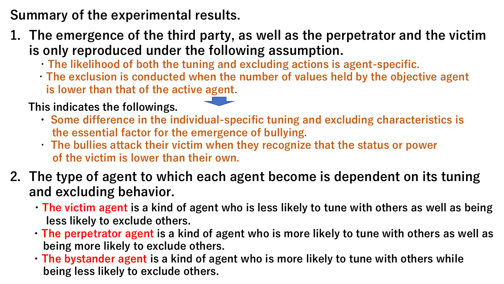## **Summary of the experimental results.**

- **1. The emergence of the third party, as well as the perpetrator and the victim is only reproduced under the following assumption.**
	- ・**The likelihood of both the tuning and excluding actions is agent-specific.**
	- ・**The exclusion is conducted when the number of values held by the objective agent is lower than that of the active agent**.

#### **This indicates the followings.**

- **・ Some difference in the individual-specific tuning and excluding characteristics is the essential factor for the emergence of bullying**.
- ・ **The bullies attack their victim when they recognize that the status or power of the victim is lower than their own.**
- **2. The type of agent to which each agent become is dependent on its tuning and excluding behavior.**
	- **・The victim agent is a kind of agent who is less likely to tune with others as well as being less likely to exclude others.**
	- **・The perpetrator agent is a kind of agent who is more likely to tune with others as well as being more likely to exclude others.**
	- **・The bystander agent is a kind of agent who is more likely to tune with others while being less likely to exclude others.**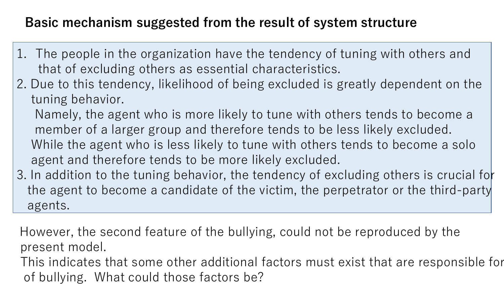### **Basic mechanism suggested from the result of system structure**

- 1. The people in the organization have the tendency of tuning with others and that of excluding others as essential characteristics.
- 2. Due to this tendency, likelihood of being excluded is greatly dependent on the tuning behavior.

Namely, the agent who is more likely to tune with others tends to become a member of a larger group and therefore tends to be less likely excluded. While the agent who is less likely to tune with others tends to become a solo agent and therefore tends to be more likely excluded.

3. In addition to the tuning behavior, the tendency of excluding others is crucial for the agent to become a candidate of the victim, the perpetrator or the third-party agents.

However, the second feature of the bullying, could not be reproduced by the present model.

This indicates that some other additional factors must exist that are responsible for of bullying. What could those factors be?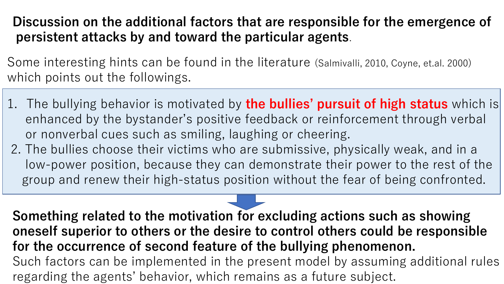### **Discussion on the additional factors that are responsible for the emergence of persistent attacks by and toward the particular agents**.

Some interesting hints can be found in the literature (Salmivalli, 2010, Coyne, et.al. 2000) which points out the followings.

- 1. The bullying behavior is motivated by **the bullies' pursuit of high status** which is enhanced by the bystander's positive feedback or reinforcement through verbal or nonverbal cues such as smiling, laughing or cheering.
- 2. The bullies choose their victims who are submissive, physically weak, and in a low-power position, because they can demonstrate their power to the rest of the group and renew their high-status position without the fear of being confronted.

**Something related to the motivation for excluding actions such as showing oneself superior to others or the desire to control others could be responsible for the occurrence of second feature of the bullying phenomenon.**  Such factors can be implemented in the present model by assuming additional rules regarding the agents' behavior, which remains as a future subject.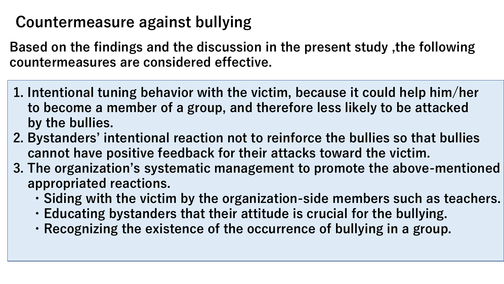# **Countermeasure against bullying**

**Based on the findings and the discussion in the present study ,the following countermeasures are considered effective.**

- **1. Intentional tuning behavior with the victim, because it could help him/her to become a member of a group, and therefore less likely to be attacked by the bullies.**
- **2. Bystanders' intentional reaction not to reinforce the bullies so that bullies cannot have positive feedback for their attacks toward the victim.**
- **3. The organization's systematic management to promote the above-mentioned appropriated reactions.**
	- **・Siding with the victim by the organization-side members such as teachers.**
	- **・Educating bystanders that their attitude is crucial for the bullying.**
	- **・Recognizing the existence of the occurrence of bullying in a group.**